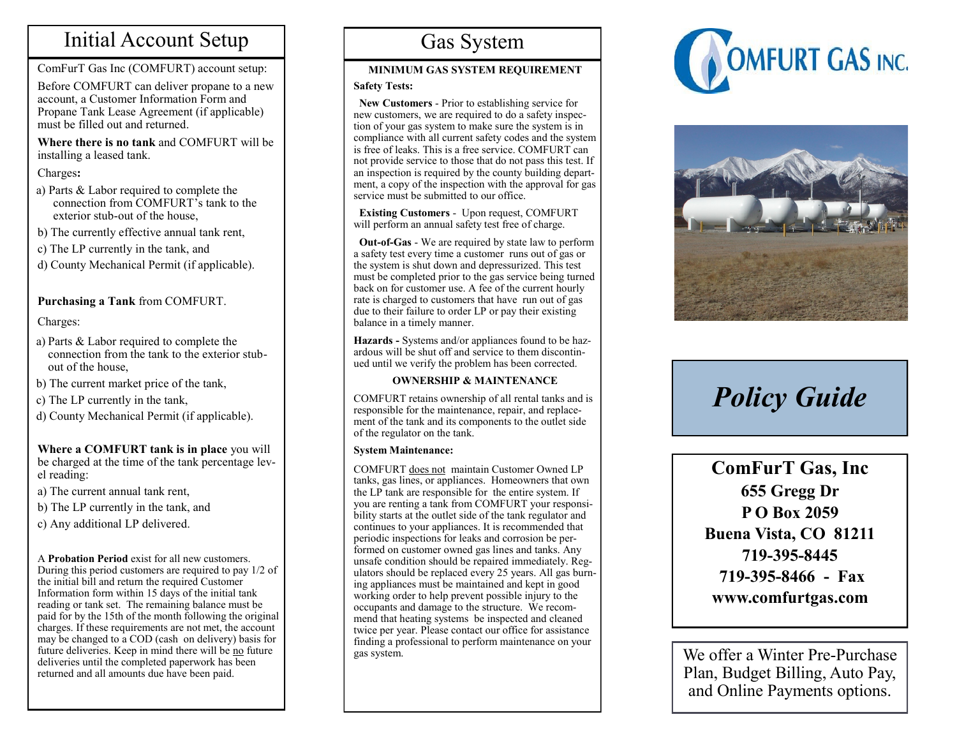### Initial Account Setup

ComFurT Gas Inc (COMFURT) account setup:

Before COMFURT can deliver propane to a new account, a Customer Information Form and Propane Tank Lease Agreement (if applicable) must be filled out and returned.

**Where there is no tank** and COMFURT will be installing a leased tank.

#### Charges**:**

- a) Parts & Labor required to complete the connection from COMFURT's tank to the exterior stub-out of the house,
- b) The currently effective annual tank rent,
- c) The LP currently in the tank, and
- d) County Mechanical Permit (if applicable).

### **Purchasing a Tank** from COMFURT.

### Charges:

- a) Parts & Labor required to complete the connection from the tank to the exterior stubout of the house,
- b) The current market price of the tank,
- c) The LP currently in the tank,
- d) County Mechanical Permit (if applicable).

#### **Where a COMFURT tank is in place** you will be charged at the time of the tank percentage level reading:

- a) The current annual tank rent,
- b) The LP currently in the tank, and
- c) Any additional LP delivered.

#### A **Probation Period** exist for all new customers. During this period customers are required to pay 1/2 of the initial bill and return the required Customer Information form within 15 days of the initial tank reading or tank set. The remaining balance must be paid for by the 15th of the month following the original charges. If these requirements are not met, the account may be changed to a COD (cash on delivery) basis for future deliveries. Keep in mind there will be no future deliveries until the completed paperwork has been returned and all amounts due have been paid.

## Gas System

### **MINIMUM GAS SYSTEM REQUIREMENT**

### **Safety Tests:**

 **New Customers** - Prior to establishing service for new customers, we are required to do a safety inspection of your gas system to make sure the system is in compliance with all current safety codes and the system is free of leaks. This is a free service. COMFURT can not provide service to those that do not pass this test. If an inspection is required by the county building department, a copy of the inspection with the approval for gas service must be submitted to our office.

 **Existing Customers** - Upon request, COMFURT will perform an annual safety test free of charge.

 **Out-of-Gas** - We are required by state law to perform a safety test every time a customer runs out of gas or the system is shut down and depressurized. This test must be completed prior to the gas service being turned back on for customer use. A fee of the current hourly rate is charged to customers that have run out of gas due to their failure to order LP or pay their existing balance in a timely manner.

**Hazards -** Systems and/or appliances found to be hazardous will be shut off and service to them discontinued until we verify the problem has been corrected.

### **OWNERSHIP & MAINTENANCE**

COMFURT retains ownership of all rental tanks and is responsible for the maintenance, repair, and replacement of the tank and its components to the outlet side of the regulator on the tank.

### **System Maintenance:**

COMFURT does not maintain Customer Owned LP tanks, gas lines, or appliances. Homeowners that own the LP tank are responsible for the entire system. If you are renting a tank from COMFURT your responsibility starts at the outlet side of the tank regulator and continues to your appliances. It is recommended that periodic inspections for leaks and corrosion be performed on customer owned gas lines and tanks. Any unsafe condition should be repaired immediately. Regulators should be replaced every 25 years. All gas burning appliances must be maintained and kept in good working order to help prevent possible injury to the occupants and damage to the structure. We recommend that heating systems be inspected and cleaned twice per year. Please contact our office for assistance finding a professional to perform maintenance on your gas system.





# *Policy Guide*

**ComFurT Gas, Inc 655 Gregg Dr P O Box 2059 Buena Vista, CO 81211 719-395-8445 719-395-8466 - Fax www.comfurtgas.com**

We offer a Winter Pre-Purchase Plan, Budget Billing, Auto Pay, and Online Payments options.